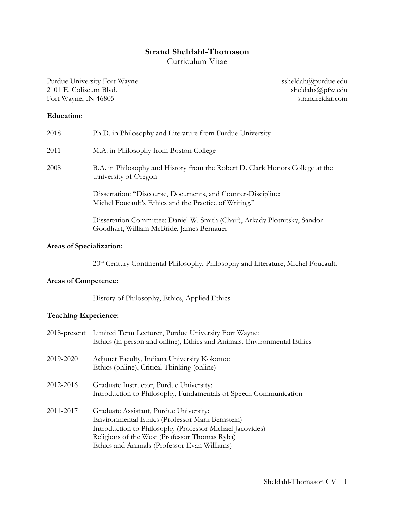# **Strand Sheldahl-Thomason**

Curriculum Vitae

Purdue University Fort Wayne Sheldah@purdue.edu<br>
2101 E. Coliseum Blvd. Sheldahs@pfw.edu 2101 E. Coliseum Blvd. Sheldahs@pfw.edu sheldahs@pfw.edu sheldahs@pfw.edu sheldahs@pfw.edu Fort Wayne, IN 46805

## **Education**:

| 2018 | Ph.D. in Philosophy and Literature from Purdue University                                                                     |  |
|------|-------------------------------------------------------------------------------------------------------------------------------|--|
| 2011 | M.A. in Philosophy from Boston College                                                                                        |  |
| 2008 | B.A. in Philosophy and History from the Robert D. Clark Honors College at the<br>University of Oregon                         |  |
|      | <b>Dissertation:</b> "Discourse, Documents, and Counter-Discipline:<br>Michel Foucault's Ethics and the Practice of Writing." |  |
|      | Dissertation Committee: Daniel W. Smith (Chair), Arkady Plotnitsky, Sandor<br>Goodhart, William McBride, James Bernauer       |  |

## **Areas of Specialization:**

20<sup>th</sup> Century Continental Philosophy, Philosophy and Literature, Michel Foucault.

# **Areas of Competence:**

History of Philosophy, Ethics, Applied Ethics.

## **Teaching Experience:**

|           | 2018-present Limited Term Lecturer, Purdue University Fort Wayne:<br>Ethics (in person and online), Ethics and Animals, Environmental Ethics                                                                                                           |
|-----------|--------------------------------------------------------------------------------------------------------------------------------------------------------------------------------------------------------------------------------------------------------|
| 2019-2020 | Adjunct Faculty, Indiana University Kokomo:<br>Ethics (online), Critical Thinking (online)                                                                                                                                                             |
| 2012-2016 | Graduate Instructor, Purdue University:<br>Introduction to Philosophy, Fundamentals of Speech Communication                                                                                                                                            |
| 2011-2017 | Graduate Assistant, Purdue University:<br>Environmental Ethics (Professor Mark Bernstein)<br>Introduction to Philosophy (Professor Michael Jacovides)<br>Religions of the West (Professor Thomas Ryba)<br>Ethics and Animals (Professor Evan Williams) |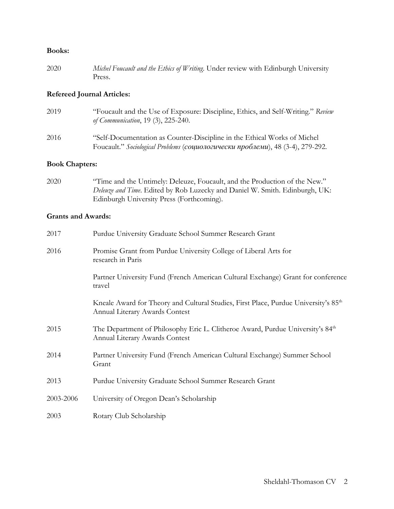### **Books:**

2020 *Michel Foucault and the Ethics of Writing*. Under review with Edinburgh University Press.

### **Refereed Journal Articles:**

2019 "Foucault and the Use of Exposure: Discipline, Ethics, and Self-Writing." *Review of Communication*, 19 (3), 225-240. 2016 "Self-Documentation as Counter-Discipline in the Ethical Works of Michel Foucault." *Sociological Problems* (*социологически проблеми*), 48 (3-4), 279-292.

### **Book Chapters:**

2020 "Time and the Untimely: Deleuze, Foucault, and the Production of the New." *Deleuze and Time*. Edited by Rob Luzecky and Daniel W. Smith. Edinburgh, UK: Edinburgh University Press (Forthcoming).

## **Grants and Awards:**

| 2017      | Purdue University Graduate School Summer Research Grant                                                                           |  |  |
|-----------|-----------------------------------------------------------------------------------------------------------------------------------|--|--|
| 2016      | Promise Grant from Purdue University College of Liberal Arts for<br>research in Paris                                             |  |  |
|           | Partner University Fund (French American Cultural Exchange) Grant for conference<br>travel                                        |  |  |
|           | Kneale Award for Theory and Cultural Studies, First Place, Purdue University's 85 <sup>th</sup><br>Annual Literary Awards Contest |  |  |
| 2015      | The Department of Philosophy Eric L. Clitheroe Award, Purdue University's 84 <sup>th</sup><br>Annual Literary Awards Contest      |  |  |
| 2014      | Partner University Fund (French American Cultural Exchange) Summer School<br>Grant                                                |  |  |
| 2013      | Purdue University Graduate School Summer Research Grant                                                                           |  |  |
| 2003-2006 | University of Oregon Dean's Scholarship                                                                                           |  |  |
| 2003      | Rotary Club Scholarship                                                                                                           |  |  |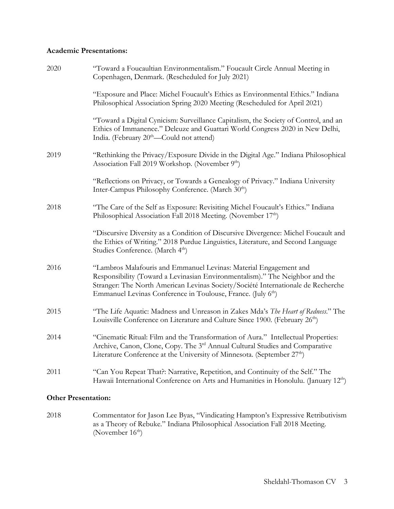# **Academic Presentations:**

| 2020                       | "Toward a Foucaultian Environmentalism." Foucault Circle Annual Meeting in<br>Copenhagen, Denmark. (Rescheduled for July 2021)                                                                                                                                                                                    |  |
|----------------------------|-------------------------------------------------------------------------------------------------------------------------------------------------------------------------------------------------------------------------------------------------------------------------------------------------------------------|--|
|                            | "Exposure and Place: Michel Foucault's Ethics as Environmental Ethics." Indiana<br>Philosophical Association Spring 2020 Meeting (Rescheduled for April 2021)                                                                                                                                                     |  |
|                            | "Toward a Digital Cynicism: Surveillance Capitalism, the Society of Control, and an<br>Ethics of Immanence." Deleuze and Guattari World Congress 2020 in New Delhi,<br>India. (February 20 <sup>th</sup> —Could not attend)                                                                                       |  |
| 2019                       | "Rethinking the Privacy/Exposure Divide in the Digital Age." Indiana Philosophical<br>Association Fall 2019 Workshop. (November 9 <sup>th</sup> )                                                                                                                                                                 |  |
|                            | "Reflections on Privacy, or Towards a Genealogy of Privacy." Indiana University<br>Inter-Campus Philosophy Conference. (March 30 <sup>th</sup> )                                                                                                                                                                  |  |
| 2018                       | "The Care of the Self as Exposure: Revisiting Michel Foucault's Ethics." Indiana<br>Philosophical Association Fall 2018 Meeting. (November 17th)                                                                                                                                                                  |  |
|                            | "Discursive Diversity as a Condition of Discursive Divergence: Michel Foucault and<br>the Ethics of Writing." 2018 Purdue Linguistics, Literature, and Second Language<br>Studies Conference. (March 4 <sup>th</sup> )                                                                                            |  |
| 2016                       | "Lambros Malafouris and Emmanuel Levinas: Material Engagement and<br>Responsibility (Toward a Levinasian Environmentalism)." The Neighbor and the<br>Stranger: The North American Levinas Society/Société Internationale de Recherche<br>Emmanuel Levinas Conference in Toulouse, France. (July 6 <sup>th</sup> ) |  |
| 2015                       | "The Life Aquatic: Madness and Unreason in Zakes Mda's The Heart of Redness." The<br>Louisville Conference on Literature and Culture Since 1900. (February 26 <sup>th</sup> )                                                                                                                                     |  |
| 2014                       | "Cinematic Ritual: Film and the Transformation of Aura." Intellectual Properties:<br>Archive, Canon, Clone, Copy. The 3 <sup>rd</sup> Annual Cultural Studies and Comparative<br>Literature Conference at the University of Minnesota. (September 27 <sup>th</sup> )                                              |  |
| 2011                       | "Can You Repeat That?: Narrative, Repetition, and Continuity of the Self." The<br>Hawaii International Conference on Arts and Humanities in Honolulu. (January 12 <sup>th</sup> )                                                                                                                                 |  |
| <b>Other Presentation:</b> |                                                                                                                                                                                                                                                                                                                   |  |

2018 Commentator for Jason Lee Byas, "Vindicating Hampton's Expressive Retributivism as a Theory of Rebuke." Indiana Philosophical Association Fall 2018 Meeting. (November  $16<sup>th</sup>$ )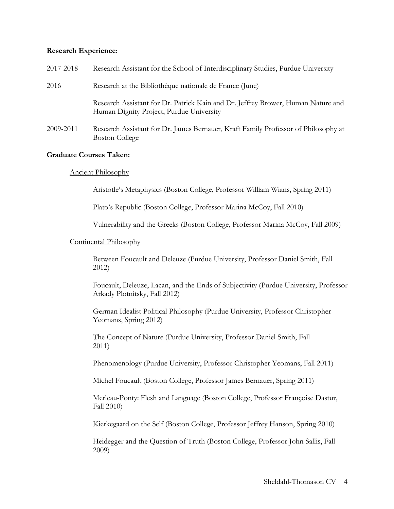#### **Research Experience**:

| 2017-2018 | Research Assistant for the School of Interdisciplinary Studies, Purdue University                                            |  |
|-----------|------------------------------------------------------------------------------------------------------------------------------|--|
| 2016      | Research at the Bibliothèque nationale de France (June)                                                                      |  |
|           | Research Assistant for Dr. Patrick Kain and Dr. Jeffrey Brower, Human Nature and<br>Human Dignity Project, Purdue University |  |
| 2009-2011 | Research Assistant for Dr. James Bernauer, Kraft Family Professor of Philosophy at<br><b>Boston College</b>                  |  |

#### **Graduate Courses Taken:**

### Ancient Philosophy

Aristotle's Metaphysics (Boston College, Professor William Wians, Spring 2011)

Plato's Republic (Boston College, Professor Marina McCoy, Fall 2010)

Vulnerability and the Greeks (Boston College, Professor Marina McCoy, Fall 2009)

### Continental Philosophy

Between Foucault and Deleuze (Purdue University, Professor Daniel Smith, Fall 2012)

Foucault, Deleuze, Lacan, and the Ends of Subjectivity (Purdue University, Professor Arkady Plotnitsky, Fall 2012)

German Idealist Political Philosophy (Purdue University, Professor Christopher Yeomans, Spring 2012)

The Concept of Nature (Purdue University, Professor Daniel Smith, Fall 2011)

Phenomenology (Purdue University, Professor Christopher Yeomans, Fall 2011)

Michel Foucault (Boston College, Professor James Bernauer, Spring 2011)

Merleau-Ponty: Flesh and Language (Boston College, Professor Françoise Dastur, Fall 2010)

Kierkegaard on the Self (Boston College, Professor Jeffrey Hanson, Spring 2010)

Heidegger and the Question of Truth (Boston College, Professor John Sallis, Fall 2009)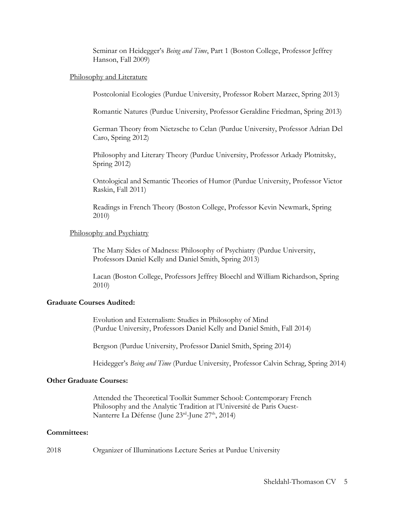Seminar on Heidegger's *Being and Time*, Part 1 (Boston College, Professor Jeffrey Hanson, Fall 2009)

#### Philosophy and Literature

Postcolonial Ecologies (Purdue University, Professor Robert Marzec, Spring 2013)

Romantic Natures (Purdue University, Professor Geraldine Friedman, Spring 2013)

German Theory from Nietzsche to Celan (Purdue University, Professor Adrian Del Caro, Spring 2012)

Philosophy and Literary Theory (Purdue University, Professor Arkady Plotnitsky, Spring 2012)

Ontological and Semantic Theories of Humor (Purdue University, Professor Victor Raskin, Fall 2011)

Readings in French Theory (Boston College, Professor Kevin Newmark, Spring 2010)

### Philosophy and Psychiatry

The Many Sides of Madness: Philosophy of Psychiatry (Purdue University, Professors Daniel Kelly and Daniel Smith, Spring 2013)

Lacan (Boston College, Professors Jeffrey Bloechl and William Richardson, Spring 2010)

#### **Graduate Courses Audited:**

Evolution and Externalism: Studies in Philosophy of Mind (Purdue University, Professors Daniel Kelly and Daniel Smith, Fall 2014)

Bergson (Purdue University, Professor Daniel Smith, Spring 2014)

Heidegger's *Being and Time* (Purdue University, Professor Calvin Schrag, Spring 2014)

# **Other Graduate Courses:**

Attended the Theoretical Toolkit Summer School: Contemporary French Philosophy and the Analytic Tradition at l'Université de Paris Ouest-Nanterre La Défense (June 23rd-June 27<sup>th</sup>, 2014)

#### **Committees:**

2018 Organizer of Illuminations Lecture Series at Purdue University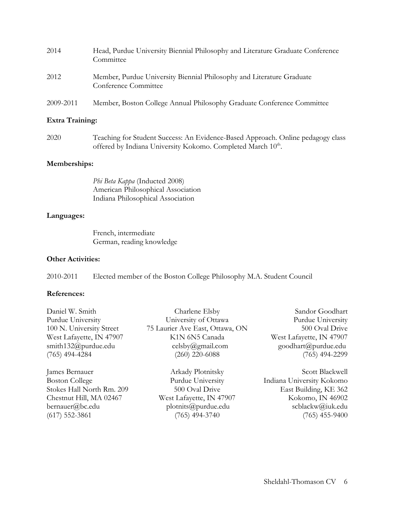| 2014      | Head, Purdue University Biennial Philosophy and Literature Graduate Conference<br>Committee   |
|-----------|-----------------------------------------------------------------------------------------------|
| 2012      | Member, Purdue University Biennial Philosophy and Literature Graduate<br>Conference Committee |
| 2009-2011 | Member, Boston College Annual Philosophy Graduate Conference Committee                        |

# **Extra Training:**

2020 Teaching for Student Success: An Evidence-Based Approach. Online pedagogy class offered by Indiana University Kokomo. Completed March 10<sup>th</sup>.

## **Memberships:**

*Phi Beta Kappa* (Inducted 2008) American Philosophical Association Indiana Philosophical Association

## **Languages:**

French, intermediate German, reading knowledge

## **Other Activities:**

2010-2011 Elected member of the Boston College Philosophy M.A. Student Council

## **References:**

| Daniel W. Smith           | Charlene Elsby                  | Sandor Goodhart           |
|---------------------------|---------------------------------|---------------------------|
| Purdue University         | University of Ottawa            | Purdue University         |
| 100 N. University Street  | 75 Laurier Ave East, Ottawa, ON | 500 Oval Drive            |
| West Lafayette, IN 47907  | K1N 6N5 Canada                  | West Lafayette, IN 47907  |
| smith132@purdue.edu       | celsby@gmail.com                | goodhart@purdue.edu       |
| $(765)$ 494-4284          | $(260)$ 220-6088                | $(765)$ 494-2299          |
| James Bernauer            | Arkady Plotnitsky               | Scott Blackwell           |
| <b>Boston College</b>     | Purdue University               | Indiana University Kokomo |
| Stokes Hall North Rm. 209 | 500 Oval Drive                  | East Building, KE 362     |
| Chestnut Hill, MA 02467   | West Lafayette, IN 47907        | Kokomo, IN 46902          |
| bernauer@bc.edu           | plotmits@putdue.edu             | scblackw@iuk.edu          |

(617) 552-3861 (765) 494-3740 (765) 455-9400